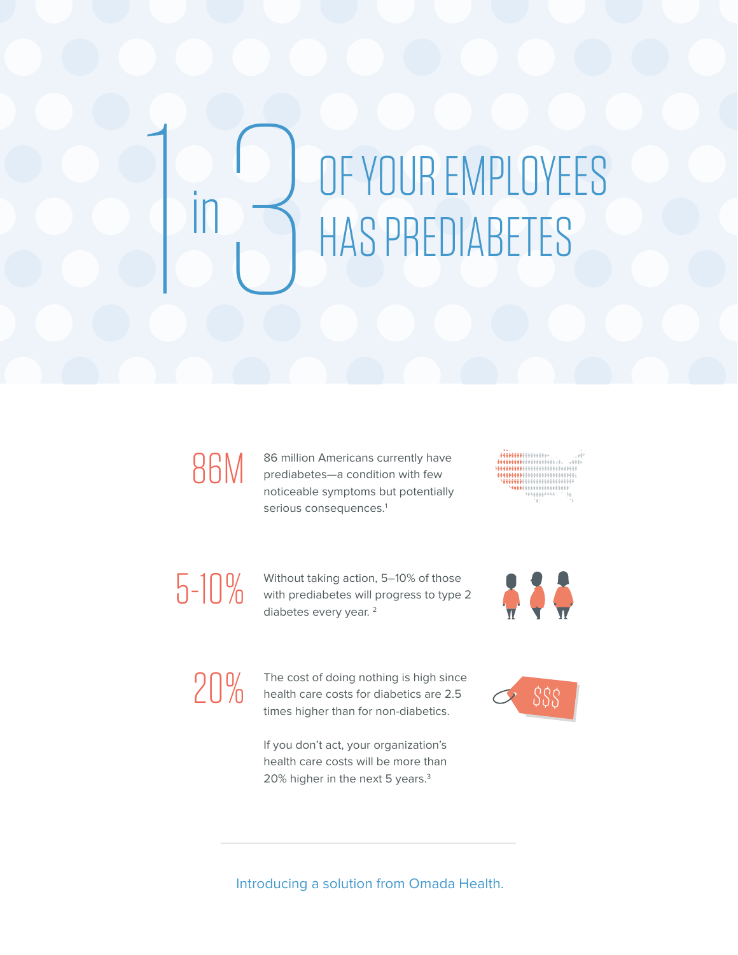# 1 in3 OF YOUR EMPLOYEES HAS PREDIABETES

## 86M

86 million Americans currently have prediabetes—a condition with few noticeable symptoms but potentially serious consequences.<sup>1</sup>

 $\begin{picture}(120,140)(-0.000,0){\line(1,0){100}} \put(10,0){\line(1,0){100}} \put(10,0){\line(1,0){100}} \put(10,0){\line(1,0){100}} \put(10,0){\line(1,0){100}} \put(10,0){\line(1,0){100}} \put(10,0){\line(1,0){100}} \put(10,0){\line(1,0){100}} \put(10,0){\line(1,0){100}} \put(10,0){\line(1,0){100}} \put(10,0){\line(1,0){1$ 

### 5-10%

Without taking action, 5–10% of those with prediabetes will progress to type 2 diabetes every year. 2



 $20\%$  The cost of doing nothing is high since<br>
health care costs for diabetics are 2.5 health care costs for diabetics are 2.5 times higher than for non-diabetics.

> If you don't act, your organization's health care costs will be more than 20% higher in the next 5 years.<sup>3</sup>



#### Introducing a solution from Omada Health.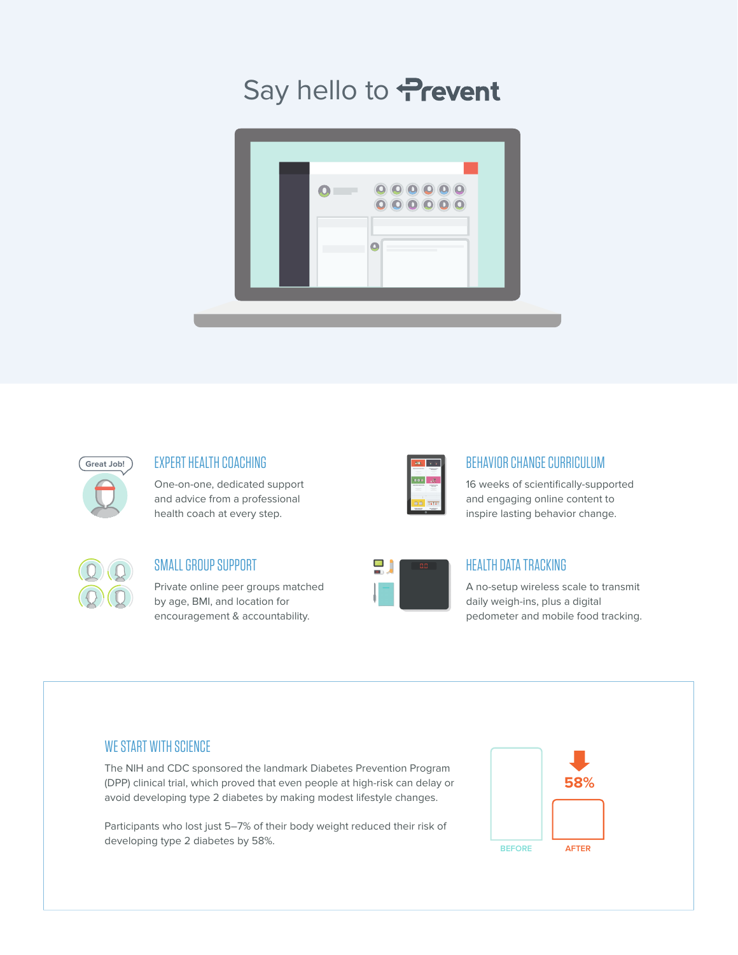### Say hello to Prevent





#### EXPERT HEALTH COACHING

One-on-one, dedicated support and advice from a professional health coach at every step.

| <b>PIE</b>                      |                      |  |
|---------------------------------|----------------------|--|
| $\sim$                          | <b>STARTING</b><br>٠ |  |
| 000                             |                      |  |
| ---                             | ٠                    |  |
|                                 |                      |  |
| ı                               |                      |  |
| 商會                              | $1 + 1 + 1$          |  |
| <b><i><u>STATISTICS</u></i></b> | <b>STAR</b>          |  |

#### BEHAVIOR CHANGE CURRICULUM

16 weeks of scientifically-supported and engaging online content to inspire lasting behavior change.

#### SMALL GROUP SUPPORT

Private online peer groups matched by age, BMI, and location for encouragement & accountability.

|     | 8.8 |
|-----|-----|
| $=$ |     |
|     |     |

#### HEALTH DATA TRACKING

A no-setup wireless scale to transmit daily weigh-ins, plus a digital pedometer and mobile food tracking.

#### WE START WITH SCIENCE

The NIH and CDC sponsored the landmark Diabetes Prevention Program (DPP) clinical trial, which proved that even people at high-risk can delay or avoid developing type 2 diabetes by making modest lifestyle changes.

Participants who lost just 5–7% of their body weight reduced their risk of developing type 2 diabetes by 58%.

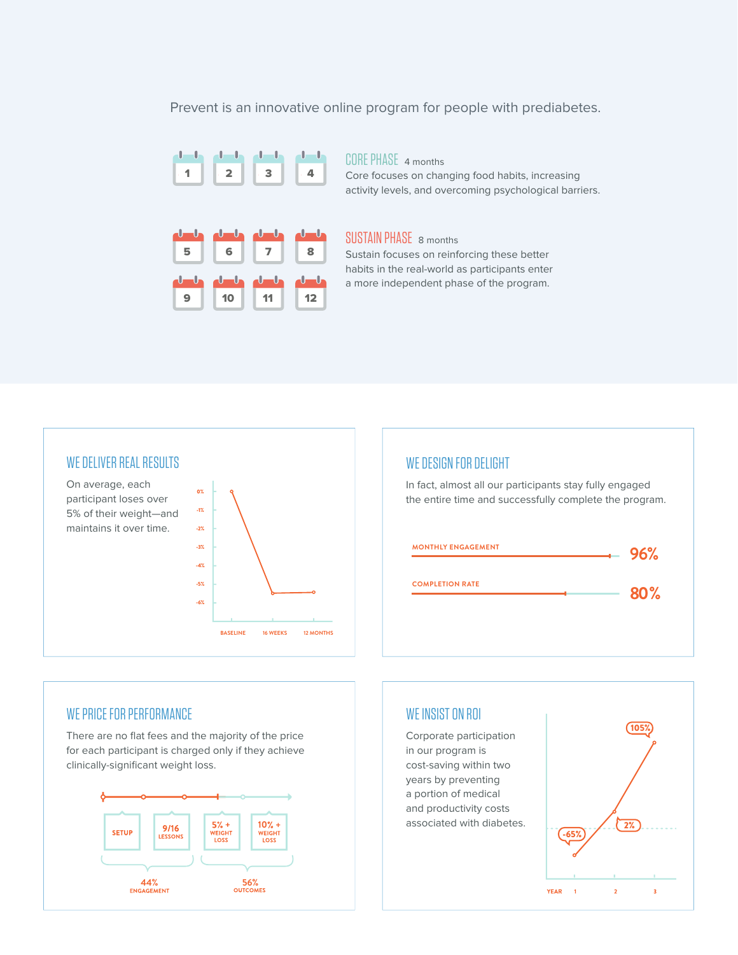Prevent is an innovative online program for people with prediabetes.



CORE PHASE4 months Core focuses on changing food habits, increasing activity levels, and overcoming psychological barriers.

#### SUSTAIN PHASE 8 months

Sustain focuses on reinforcing these better habits in the real-world as participants enter a more independent phase of the program.





#### WE PRICE FOR PERFORMANCE

There are no flat fees and the majority of the price for each participant is charged only if they achieve clinically-significant weight loss.



#### WE INSIST ON ROI

Corporate participation in our program is cost-saving within two years by preventing a portion of medical and productivity costs **10% +**<br> **10% +**<br> **10** associated with diabetes.